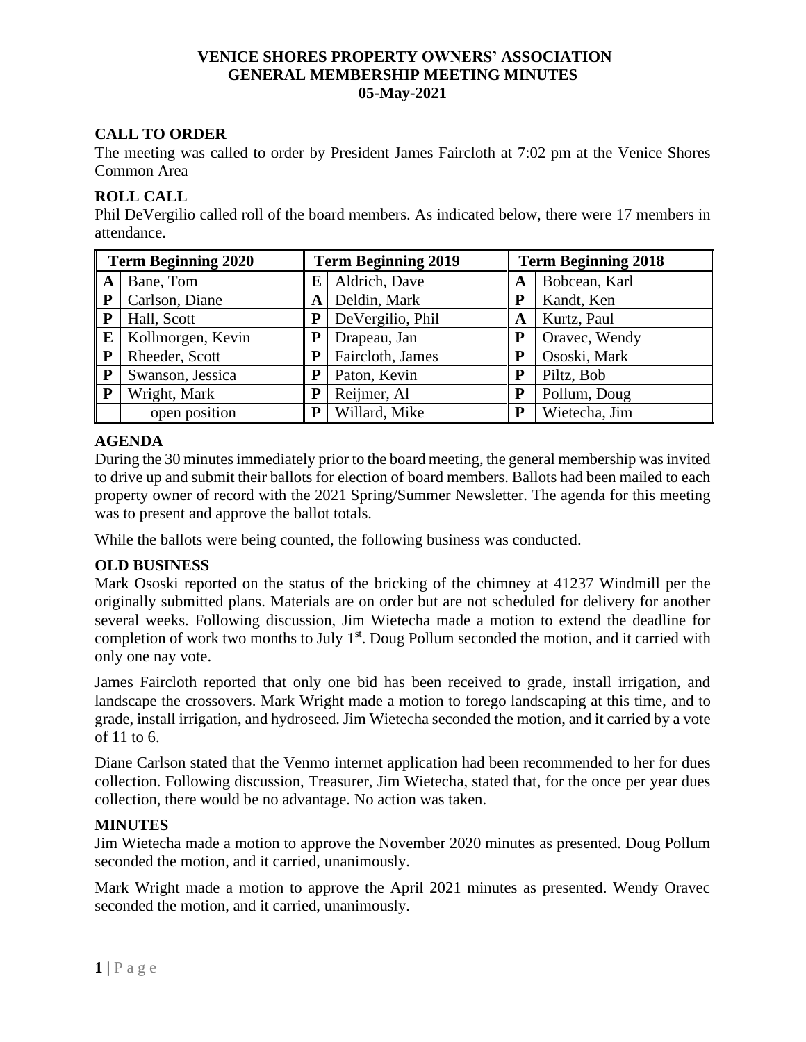### **VENICE SHORES PROPERTY OWNERS' ASSOCIATION GENERAL MEMBERSHIP MEETING MINUTES 05-May-2021**

# **CALL TO ORDER**

The meeting was called to order by President James Faircloth at 7:02 pm at the Venice Shores Common Area

### **ROLL CALL**

Phil DeVergilio called roll of the board members. As indicated below, there were 17 members in attendance.

| <b>Term Beginning 2020</b> |                   |         | <b>Term Beginning 2019</b> |   | <b>Term Beginning 2018</b> |  |  |
|----------------------------|-------------------|---------|----------------------------|---|----------------------------|--|--|
| A                          | Bane, Tom         | E       | Aldrich, Dave              | A | Bobcean, Karl              |  |  |
| ${\bf P}$                  | Carlson, Diane    | A       | Deldin, Mark               | P | Kandt, Ken                 |  |  |
| P                          | Hall, Scott       |         | DeVergilio, Phil           | A | Kurtz, Paul                |  |  |
| E                          | Kollmorgen, Kevin |         | Drapeau, Jan               | P | Oravec, Wendy              |  |  |
| P                          | Rheeder, Scott    | P       | Faircloth, James           | P | Ososki, Mark               |  |  |
| ${\bf P}$                  | Swanson, Jessica  | $\bf P$ | Paton, Kevin               | P | Piltz, Bob                 |  |  |
| ${\bf P}$                  | Wright, Mark      | P       | Reijmer, Al                | P | Pollum, Doug               |  |  |
|                            | open position     | P       | Willard, Mike              | P | Wietecha, Jim              |  |  |

# **AGENDA**

During the 30 minutes immediately prior to the board meeting, the general membership was invited to drive up and submit their ballots for election of board members. Ballots had been mailed to each property owner of record with the 2021 Spring/Summer Newsletter. The agenda for this meeting was to present and approve the ballot totals.

While the ballots were being counted, the following business was conducted.

# **OLD BUSINESS**

Mark Ososki reported on the status of the bricking of the chimney at 41237 Windmill per the originally submitted plans. Materials are on order but are not scheduled for delivery for another several weeks. Following discussion, Jim Wietecha made a motion to extend the deadline for completion of work two months to July 1<sup>st</sup>. Doug Pollum seconded the motion, and it carried with only one nay vote.

James Faircloth reported that only one bid has been received to grade, install irrigation, and landscape the crossovers. Mark Wright made a motion to forego landscaping at this time, and to grade, install irrigation, and hydroseed. Jim Wietecha seconded the motion, and it carried by a vote of 11 to 6.

Diane Carlson stated that the Venmo internet application had been recommended to her for dues collection. Following discussion, Treasurer, Jim Wietecha, stated that, for the once per year dues collection, there would be no advantage. No action was taken.

# **MINUTES**

Jim Wietecha made a motion to approve the November 2020 minutes as presented. Doug Pollum seconded the motion, and it carried, unanimously.

Mark Wright made a motion to approve the April 2021 minutes as presented. Wendy Oravec seconded the motion, and it carried, unanimously.